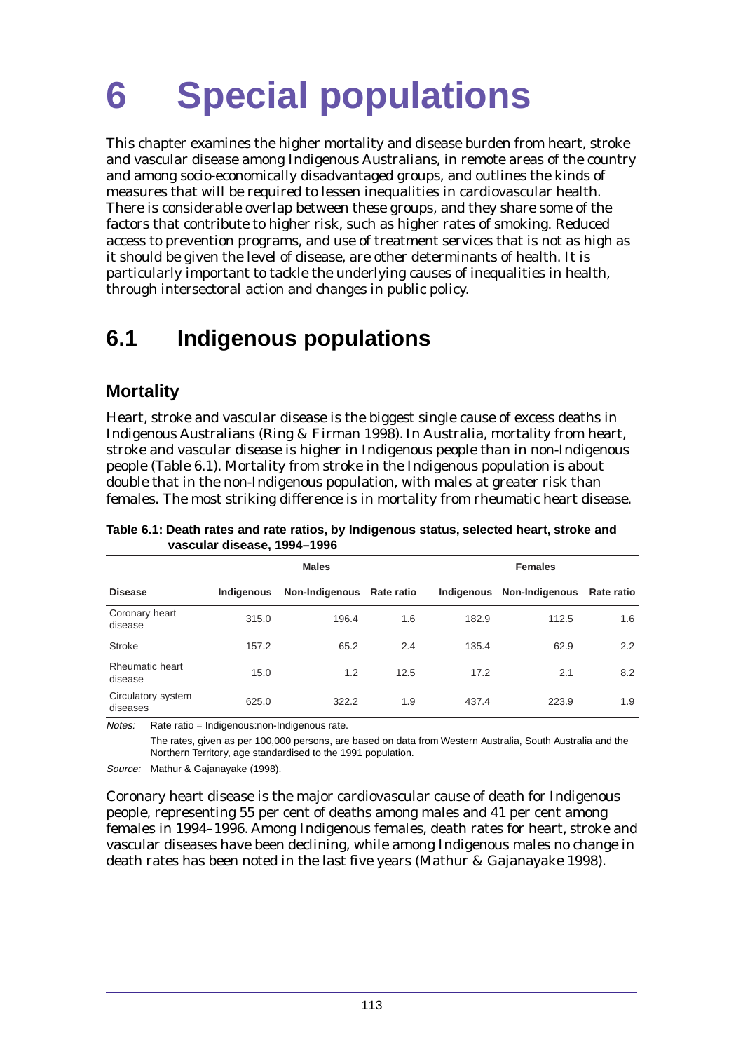This chapter examines the higher mortality and disease burden from heart, stroke and vascular disease among Indigenous Australians, in remote areas of the country and among socio-economically disadvantaged groups, and outlines the kinds of measures that will be required to lessen inequalities in cardiovascular health. There is considerable overlap between these groups, and they share some of the factors that contribute to higher risk, such as higher rates of smoking. Reduced access to prevention programs, and use of treatment services that is not as high as it should be given the level of disease, are other determinants of health. It is particularly important to tackle the underlying causes of inequalities in health, through intersectoral action and changes in public policy.

# **6.1 Indigenous populations**

# **Mortality**

Heart, stroke and vascular disease is the biggest single cause of excess deaths in Indigenous Australians (Ring & Firman 1998). In Australia, mortality from heart, stroke and vascular disease is higher in Indigenous people than in non-Indigenous people (Table 6.1). Mortality from stroke in the Indigenous population is about double that in the non-Indigenous population, with males at greater risk than females. The most striking difference is in mortality from rheumatic heart disease.

|                                |            | <b>Males</b>              |      | <b>Females</b> |                |                   |
|--------------------------------|------------|---------------------------|------|----------------|----------------|-------------------|
| <b>Disease</b>                 | Indigenous | Non-Indigenous Rate ratio |      | Indigenous     | Non-Indigenous | <b>Rate ratio</b> |
| Coronary heart<br>disease      | 315.0      | 196.4                     | 1.6  | 182.9          | 112.5          | 1.6               |
| Stroke                         | 157.2      | 65.2                      | 2.4  | 135.4          | 62.9           | 2.2               |
| Rheumatic heart<br>disease     | 15.0       | 1.2                       | 12.5 | 17.2           | 2.1            | 8.2               |
| Circulatory system<br>diseases | 625.0      | 322.2                     | 1.9  | 437.4          | 223.9          | 1.9               |

**Table 6.1: Death rates and rate ratios, by Indigenous status, selected heart, stroke and vascular disease, 1994–1996**

Notes: Rate ratio = Indigenous:non-Indigenous rate.

The rates, given as per 100,000 persons, are based on data from Western Australia, South Australia and the Northern Territory, age standardised to the 1991 population.

Source: Mathur & Gajanayake (1998).

Coronary heart disease is the major cardiovascular cause of death for Indigenous people, representing 55 per cent of deaths among males and 41 per cent among females in 1994–1996. Among Indigenous females, death rates for heart, stroke and vascular diseases have been declining, while among Indigenous males no change in death rates has been noted in the last five years (Mathur & Gajanayake 1998).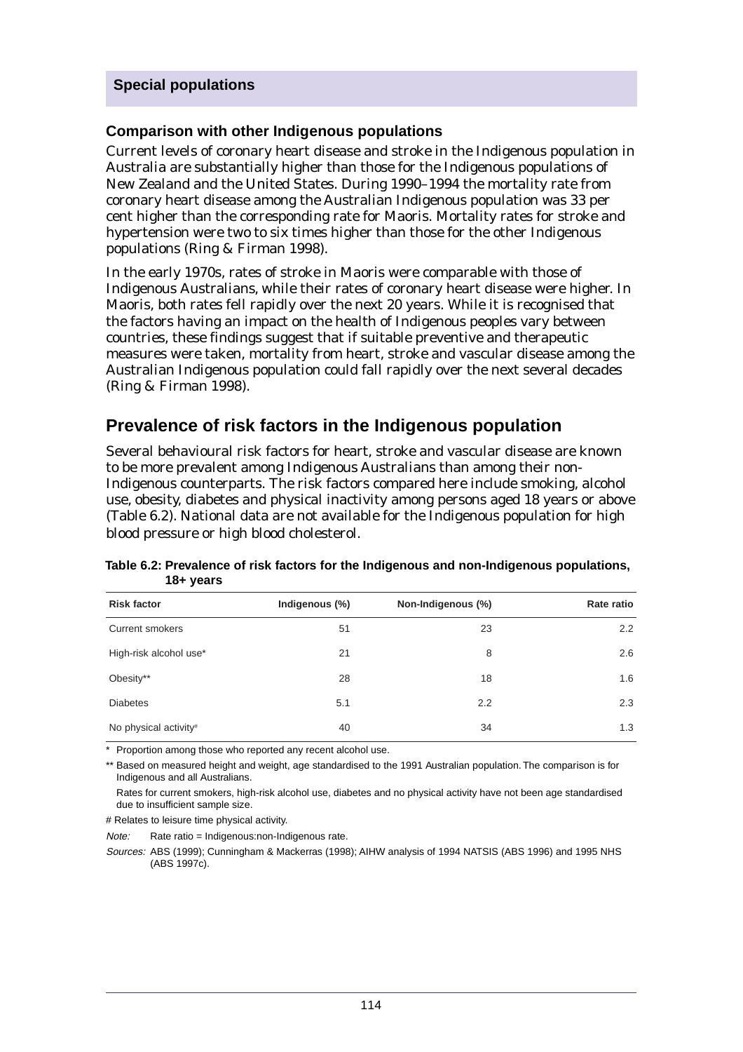#### **Comparison with other Indigenous populations**

Current levels of coronary heart disease and stroke in the Indigenous population in Australia are substantially higher than those for the Indigenous populations of New Zealand and the United States. During 1990–1994 the mortality rate from coronary heart disease among the Australian Indigenous population was 33 per cent higher than the corresponding rate for Maoris. Mortality rates for stroke and hypertension were two to six times higher than those for the other Indigenous populations (Ring & Firman 1998).

In the early 1970s, rates of stroke in Maoris were comparable with those of Indigenous Australians, while their rates of coronary heart disease were higher. In Maoris, both rates fell rapidly over the next 20 years. While it is recognised that the factors having an impact on the health of Indigenous peoples vary between countries, these findings suggest that if suitable preventive and therapeutic measures were taken, mortality from heart, stroke and vascular disease among the Australian Indigenous population could fall rapidly over the next several decades (Ring & Firman 1998).

# **Prevalence of risk factors in the Indigenous population**

Several behavioural risk factors for heart, stroke and vascular disease are known to be more prevalent among Indigenous Australians than among their non-Indigenous counterparts. The risk factors compared here include smoking, alcohol use, obesity, diabetes and physical inactivity among persons aged 18 years or above (Table 6.2). National data are not available for the Indigenous population for high blood pressure or high blood cholesterol.

| .                      |                |                    |               |
|------------------------|----------------|--------------------|---------------|
| <b>Risk factor</b>     | Indigenous (%) | Non-Indigenous (%) | Rate ratio    |
| Current smokers        | 51             | 23                 | $2.2^{\circ}$ |
| High-risk alcohol use* | 21             | 8                  | 2.6           |
| Obesity**              | 28             | 18                 | 1.6           |
| <b>Diabetes</b>        | 5.1            | 2.2                | 2.3           |
| No physical activity#  | 40             | 34                 | 1.3           |

**Table 6.2: Prevalence of risk factors for the Indigenous and non-Indigenous populations, 18+ years**

\* Proportion among those who reported any recent alcohol use.

\*\* Based on measured height and weight, age standardised to the 1991 Australian population. The comparison is for Indigenous and all Australians.

Rates for current smokers, high-risk alcohol use, diabetes and no physical activity have not been age standardised due to insufficient sample size.

# Relates to leisure time physical activity.

Note: Rate ratio = Indigenous:non-Indigenous rate.

Sources: ABS (1999); Cunningham & Mackerras (1998); AIHW analysis of 1994 NATSIS (ABS 1996) and 1995 NHS (ABS 1997c).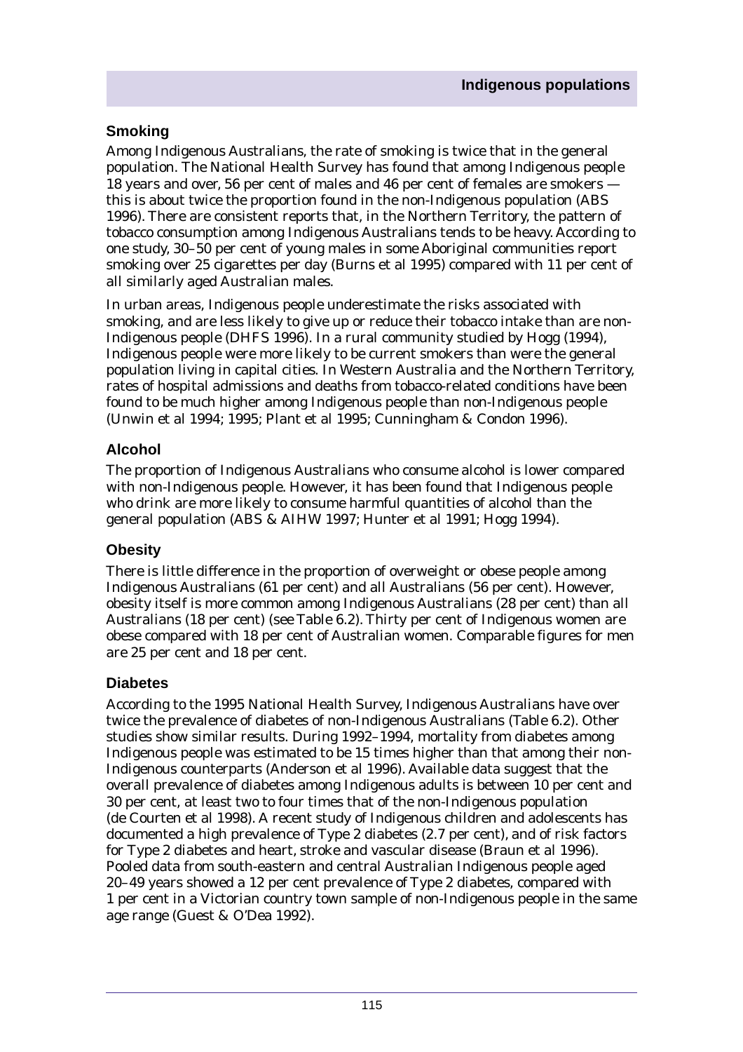### **Smoking**

Among Indigenous Australians, the rate of smoking is twice that in the general population. The National Health Survey has found that among Indigenous people 18 years and over, 56 per cent of males and 46 per cent of females are smokers this is about twice the proportion found in the non-Indigenous population (ABS 1996). There are consistent reports that, in the Northern Territory, the pattern of tobacco consumption among Indigenous Australians tends to be heavy. According to one study, 30–50 per cent of young males in some Aboriginal communities report smoking over 25 cigarettes per day (Burns et al 1995) compared with 11 per cent of all similarly aged Australian males.

In urban areas, Indigenous people underestimate the risks associated with smoking, and are less likely to give up or reduce their tobacco intake than are non-Indigenous people (DHFS 1996). In a rural community studied by Hogg (1994), Indigenous people were more likely to be current smokers than were the general population living in capital cities. In Western Australia and the Northern Territory, rates of hospital admissions and deaths from tobacco-related conditions have been found to be much higher among Indigenous people than non-Indigenous people (Unwin et al 1994; 1995; Plant et al 1995; Cunningham & Condon 1996).

# **Alcohol**

The proportion of Indigenous Australians who consume alcohol is lower compared with non-Indigenous people. However, it has been found that Indigenous people who drink are more likely to consume harmful quantities of alcohol than the general population (ABS & AIHW 1997; Hunter et al 1991; Hogg 1994).

#### **Obesity**

There is little difference in the proportion of overweight or obese people among Indigenous Australians (61 per cent) and all Australians (56 per cent). However, obesity itself is more common among Indigenous Australians (28 per cent) than all Australians (18 per cent) (see Table 6.2). Thirty per cent of Indigenous women are obese compared with 18 per cent of Australian women. Comparable figures for men are 25 per cent and 18 per cent.

#### **Diabetes**

According to the 1995 National Health Survey, Indigenous Australians have over twice the prevalence of diabetes of non-Indigenous Australians (Table 6.2). Other studies show similar results. During 1992–1994, mortality from diabetes among Indigenous people was estimated to be 15 times higher than that among their non-Indigenous counterparts (Anderson et al 1996). Available data suggest that the overall prevalence of diabetes among Indigenous adults is between 10 per cent and 30 per cent, at least two to four times that of the non-Indigenous population (de Courten et al 1998). A recent study of Indigenous children and adolescents has documented a high prevalence of Type 2 diabetes (2.7 per cent), and of risk factors for Type 2 diabetes and heart, stroke and vascular disease (Braun et al 1996). Pooled data from south-eastern and central Australian Indigenous people aged 20–49 years showed a 12 per cent prevalence of Type 2 diabetes, compared with 1 per cent in a Victorian country town sample of non-Indigenous people in the same age range (Guest & O'Dea 1992).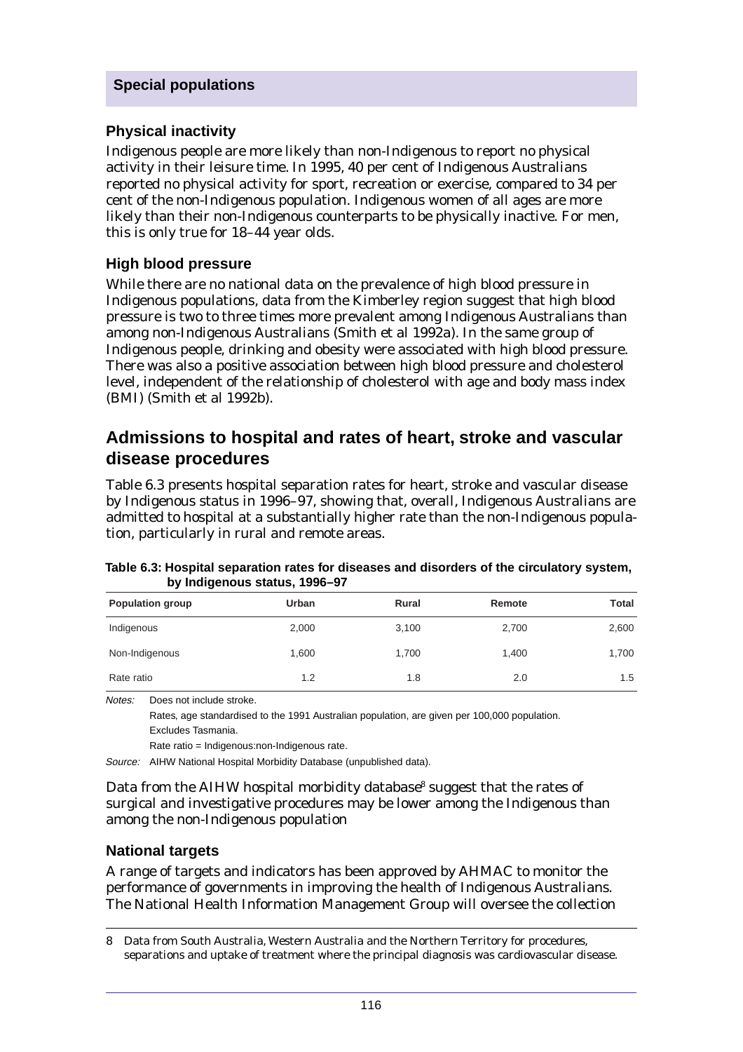#### **Physical inactivity**

Indigenous people are more likely than non-Indigenous to report no physical activity in their leisure time. In 1995, 40 per cent of Indigenous Australians reported no physical activity for sport, recreation or exercise, compared to 34 per cent of the non-Indigenous population. Indigenous women of all ages are more likely than their non-Indigenous counterparts to be physically inactive. For men, this is only true for 18–44 year olds.

#### **High blood pressure**

While there are no national data on the prevalence of high blood pressure in Indigenous populations, data from the Kimberley region suggest that high blood pressure is two to three times more prevalent among Indigenous Australians than among non-Indigenous Australians (Smith et al 1992a). In the same group of Indigenous people, drinking and obesity were associated with high blood pressure. There was also a positive association between high blood pressure and cholesterol level, independent of the relationship of cholesterol with age and body mass index (BMI) (Smith et al 1992b).

# **Admissions to hospital and rates of heart, stroke and vascular disease procedures**

Table 6.3 presents hospital separation rates for heart, stroke and vascular disease by Indigenous status in 1996–97, showing that, overall, Indigenous Australians are admitted to hospital at a substantially higher rate than the non-Indigenous population, particularly in rural and remote areas.

|                         | <b>by margenous status, 1990 91</b> |       |        |       |
|-------------------------|-------------------------------------|-------|--------|-------|
| <b>Population group</b> | Urban                               | Rural | Remote | Total |
| Indigenous              | 2,000                               | 3,100 | 2,700  | 2,600 |
| Non-Indigenous          | 1,600                               | 1,700 | 1,400  | 1,700 |
| Rate ratio              | 1.2                                 | 1.8   | 2.0    | 1.5   |

**Table 6.3: Hospital separation rates for diseases and disorders of the circulatory system, by Indigenous status, 1996–97**

Notes: Does not include stroke.

Rates, age standardised to the 1991 Australian population, are given per 100,000 population. Excludes Tasmania.

Rate ratio = Indigenous:non-Indigenous rate.

Source: AIHW National Hospital Morbidity Database (unpublished data).

Data from the AIHW hospital morbidity database<sup>8</sup> suggest that the rates of surgical and investigative procedures may be lower among the Indigenous than among the non-Indigenous population

#### **National targets**

A range of targets and indicators has been approved by AHMAC to monitor the performance of governments in improving the health of Indigenous Australians. The National Health Information Management Group will oversee the collection

8 Data from South Australia, Western Australia and the Northern Territory for procedures, separations and uptake of treatment where the principal diagnosis was cardiovascular disease.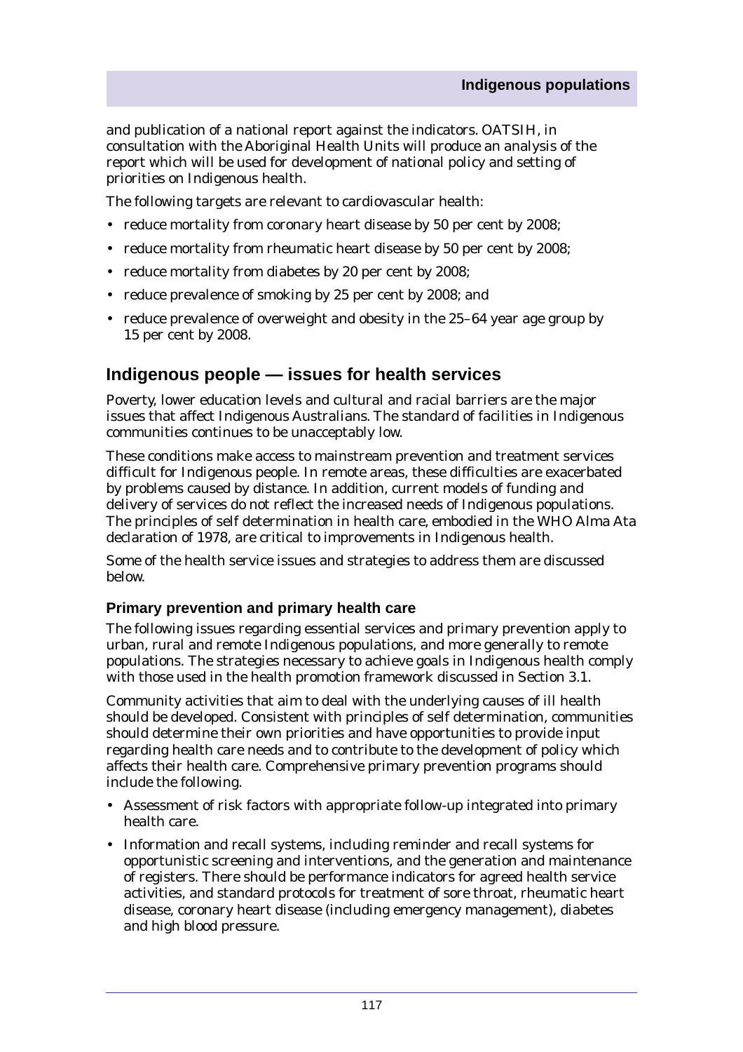and publication of a national report against the indicators. OATSIH, in consultation with the Aboriginal Health Units will produce an analysis of the report which will be used for development of national policy and setting of priorities on Indigenous health.

The following targets are relevant to cardiovascular health:

- reduce mortality from coronary heart disease by 50 per cent by 2008;
- reduce mortality from rheumatic heart disease by 50 per cent by 2008;
- reduce mortality from diabetes by 20 per cent by 2008;
- reduce prevalence of smoking by 25 per cent by 2008; and
- reduce prevalence of overweight and obesity in the 25–64 year age group by 15 per cent by 2008.

# **Indigenous people — issues for health services**

Poverty, lower education levels and cultural and racial barriers are the major issues that affect Indigenous Australians. The standard of facilities in Indigenous communities continues to be unacceptably low.

These conditions make access to mainstream prevention and treatment services difficult for Indigenous people. In remote areas, these difficulties are exacerbated by problems caused by distance. In addition, current models of funding and delivery of services do not reflect the increased needs of Indigenous populations. The principles of self determination in health care, embodied in the WHO Alma Ata declaration of 1978, are critical to improvements in Indigenous health.

Some of the health service issues and strategies to address them are discussed below.

#### **Primary prevention and primary health care**

The following issues regarding essential services and primary prevention apply to urban, rural and remote Indigenous populations, and more generally to remote populations. The strategies necessary to achieve goals in Indigenous health comply with those used in the health promotion framework discussed in Section 3.1.

Community activities that aim to deal with the underlying causes of ill health should be developed. Consistent with principles of self determination, communities should determine their own priorities and have opportunities to provide input regarding health care needs and to contribute to the development of policy which affects their health care. Comprehensive primary prevention programs should include the following.

- Assessment of risk factors with appropriate follow-up integrated into primary health care.
- Information and recall systems, including reminder and recall systems for opportunistic screening and interventions, and the generation and maintenance of registers. There should be performance indicators for agreed health service activities, and standard protocols for treatment of sore throat, rheumatic heart disease, coronary heart disease (including emergency management), diabetes and high blood pressure.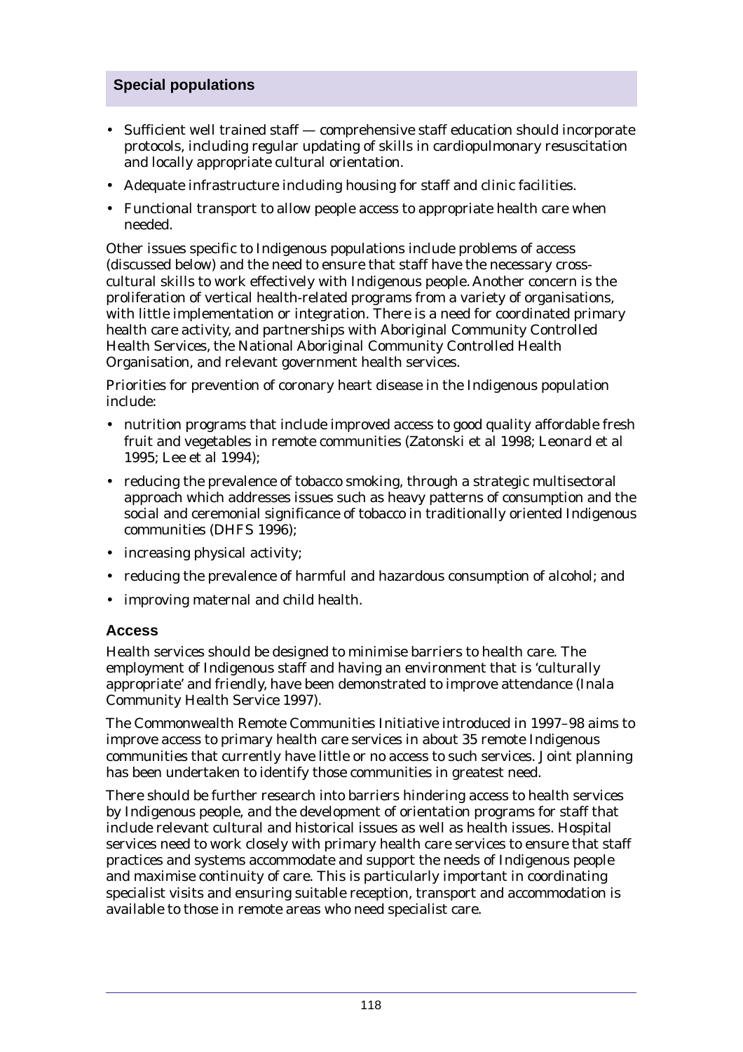- Sufficient well trained staff comprehensive staff education should incorporate protocols, including regular updating of skills in cardiopulmonary resuscitation and locally appropriate cultural orientation.
- Adequate infrastructure including housing for staff and clinic facilities.
- Functional transport to allow people access to appropriate health care when needed.

Other issues specific to Indigenous populations include problems of access (discussed below) and the need to ensure that staff have the necessary crosscultural skills to work effectively with Indigenous people. Another concern is the proliferation of vertical health-related programs from a variety of organisations, with little implementation or integration. There is a need for coordinated primary health care activity, and partnerships with Aboriginal Community Controlled Health Services, the National Aboriginal Community Controlled Health Organisation, and relevant government health services.

Priorities for prevention of coronary heart disease in the Indigenous population include:

- nutrition programs that include improved access to good quality affordable fresh fruit and vegetables in remote communities (Zatonski et al 1998; Leonard et al 1995; Lee et al 1994);
- reducing the prevalence of tobacco smoking, through a strategic multisectoral approach which addresses issues such as heavy patterns of consumption and the social and ceremonial significance of tobacco in traditionally oriented Indigenous communities (DHFS 1996);
- increasing physical activity;
- reducing the prevalence of harmful and hazardous consumption of alcohol; and
- improving maternal and child health.

#### **Access**

Health services should be designed to minimise barriers to health care. The employment of Indigenous staff and having an environment that is 'culturally appropriate' and friendly, have been demonstrated to improve attendance (Inala Community Health Service 1997).

The Commonwealth Remote Communities Initiative introduced in 1997–98 aims to improve access to primary health care services in about 35 remote Indigenous communities that currently have little or no access to such services. Joint planning has been undertaken to identify those communities in greatest need.

There should be further research into barriers hindering access to health services by Indigenous people, and the development of orientation programs for staff that include relevant cultural and historical issues as well as health issues. Hospital services need to work closely with primary health care services to ensure that staff practices and systems accommodate and support the needs of Indigenous people and maximise continuity of care. This is particularly important in coordinating specialist visits and ensuring suitable reception, transport and accommodation is available to those in remote areas who need specialist care.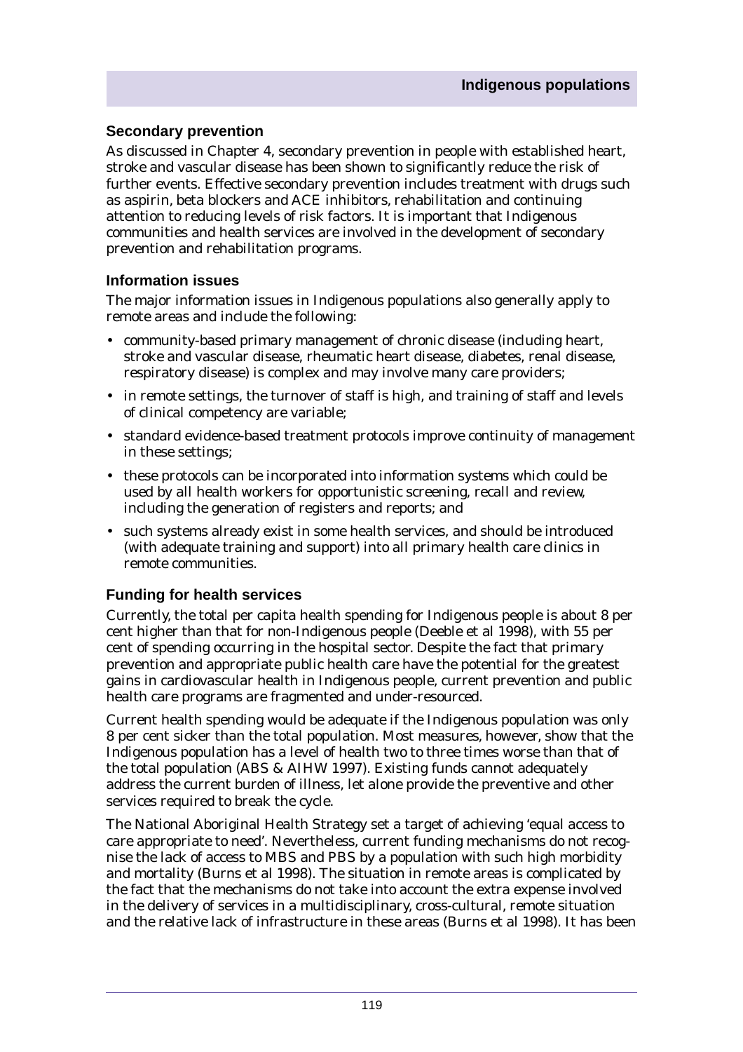#### **Secondary prevention**

As discussed in Chapter 4, secondary prevention in people with established heart, stroke and vascular disease has been shown to significantly reduce the risk of further events. Effective secondary prevention includes treatment with drugs such as aspirin, beta blockers and ACE inhibitors, rehabilitation and continuing attention to reducing levels of risk factors. It is important that Indigenous communities and health services are involved in the development of secondary prevention and rehabilitation programs.

#### **Information issues**

The major information issues in Indigenous populations also generally apply to remote areas and include the following:

- community-based primary management of chronic disease (including heart, stroke and vascular disease, rheumatic heart disease, diabetes, renal disease, respiratory disease) is complex and may involve many care providers;
- in remote settings, the turnover of staff is high, and training of staff and levels of clinical competency are variable;
- standard evidence-based treatment protocols improve continuity of management in these settings;
- these protocols can be incorporated into information systems which could be used by all health workers for opportunistic screening, recall and review, including the generation of registers and reports; and
- such systems already exist in some health services, and should be introduced (with adequate training and support) into all primary health care clinics in remote communities.

#### **Funding for health services**

Currently, the total per capita health spending for Indigenous people is about 8 per cent higher than that for non-Indigenous people (Deeble et al 1998), with 55 per cent of spending occurring in the hospital sector. Despite the fact that primary prevention and appropriate public health care have the potential for the greatest gains in cardiovascular health in Indigenous people, current prevention and public health care programs are fragmented and under-resourced.

Current health spending would be adequate if the Indigenous population was only 8 per cent sicker than the total population. Most measures, however, show that the Indigenous population has a level of health two to three times worse than that of the total population (ABS & AIHW 1997). Existing funds cannot adequately address the current burden of illness, let alone provide the preventive and other services required to break the cycle.

The National Aboriginal Health Strategy set a target of achieving 'equal access to care appropriate to need'. Nevertheless, current funding mechanisms do not recognise the lack of access to MBS and PBS by a population with such high morbidity and mortality (Burns et al 1998). The situation in remote areas is complicated by the fact that the mechanisms do not take into account the extra expense involved in the delivery of services in a multidisciplinary, cross-cultural, remote situation and the relative lack of infrastructure in these areas (Burns et al 1998). It has been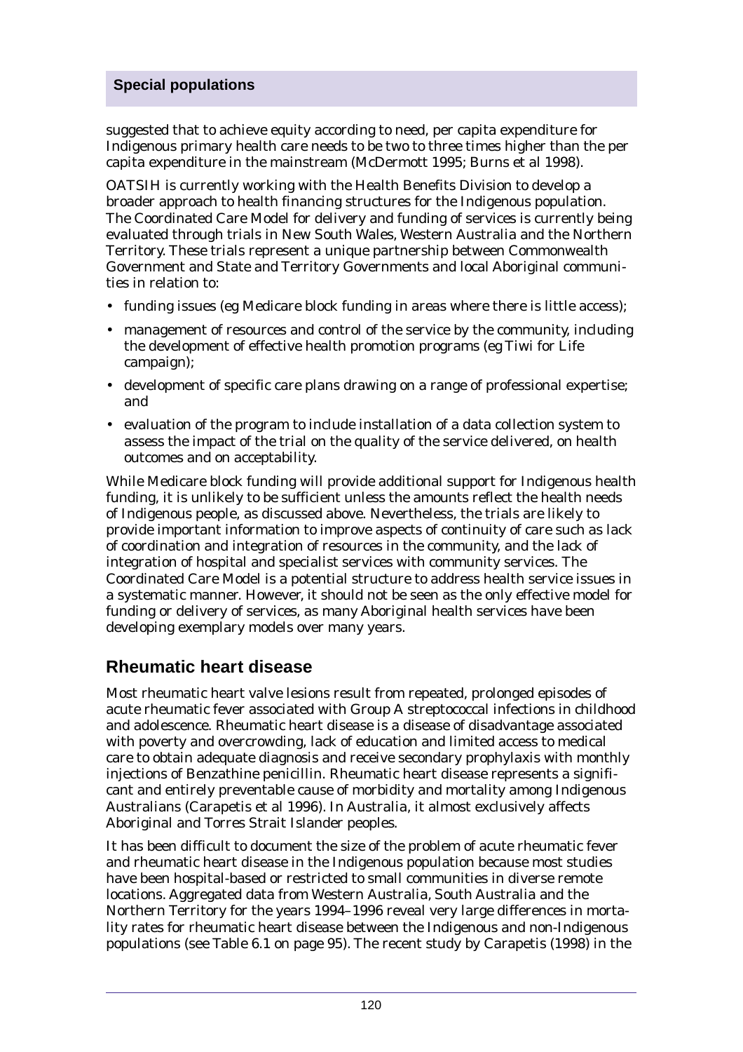suggested that to achieve equity according to need, per capita expenditure for Indigenous primary health care needs to be two to three times higher than the per capita expenditure in the mainstream (McDermott 1995; Burns et al 1998).

OATSIH is currently working with the Health Benefits Division to develop a broader approach to health financing structures for the Indigenous population. The Coordinated Care Model for delivery and funding of services is currently being evaluated through trials in New South Wales, Western Australia and the Northern Territory. These trials represent a unique partnership between Commonwealth Government and State and Territory Governments and local Aboriginal communities in relation to:

- funding issues (eg Medicare block funding in areas where there is little access);
- management of resources and control of the service by the community, including the development of effective health promotion programs (eg Tiwi for Life campaign);
- development of specific care plans drawing on a range of professional expertise; and
- evaluation of the program to include installation of a data collection system to assess the impact of the trial on the quality of the service delivered, on health outcomes and on acceptability.

While Medicare block funding will provide additional support for Indigenous health funding, it is unlikely to be sufficient unless the amounts reflect the health needs of Indigenous people, as discussed above. Nevertheless, the trials are likely to provide important information to improve aspects of continuity of care such as lack of coordination and integration of resources in the community, and the lack of integration of hospital and specialist services with community services. The Coordinated Care Model is a potential structure to address health service issues in a systematic manner. However, it should not be seen as the only effective model for funding or delivery of services, as many Aboriginal health services have been developing exemplary models over many years.

# **Rheumatic heart disease**

Most rheumatic heart valve lesions result from repeated, prolonged episodes of acute rheumatic fever associated with Group A streptococcal infections in childhood and adolescence. Rheumatic heart disease is a disease of disadvantage associated with poverty and overcrowding, lack of education and limited access to medical care to obtain adequate diagnosis and receive secondary prophylaxis with monthly injections of Benzathine penicillin. Rheumatic heart disease represents a significant and entirely preventable cause of morbidity and mortality among Indigenous Australians (Carapetis et al 1996). In Australia, it almost exclusively affects Aboriginal and Torres Strait Islander peoples.

It has been difficult to document the size of the problem of acute rheumatic fever and rheumatic heart disease in the Indigenous population because most studies have been hospital-based or restricted to small communities in diverse remote locations. Aggregated data from Western Australia, South Australia and the Northern Territory for the years 1994–1996 reveal very large differences in mortality rates for rheumatic heart disease between the Indigenous and non-Indigenous populations (see Table 6.1 on page 95). The recent study by Carapetis (1998) in the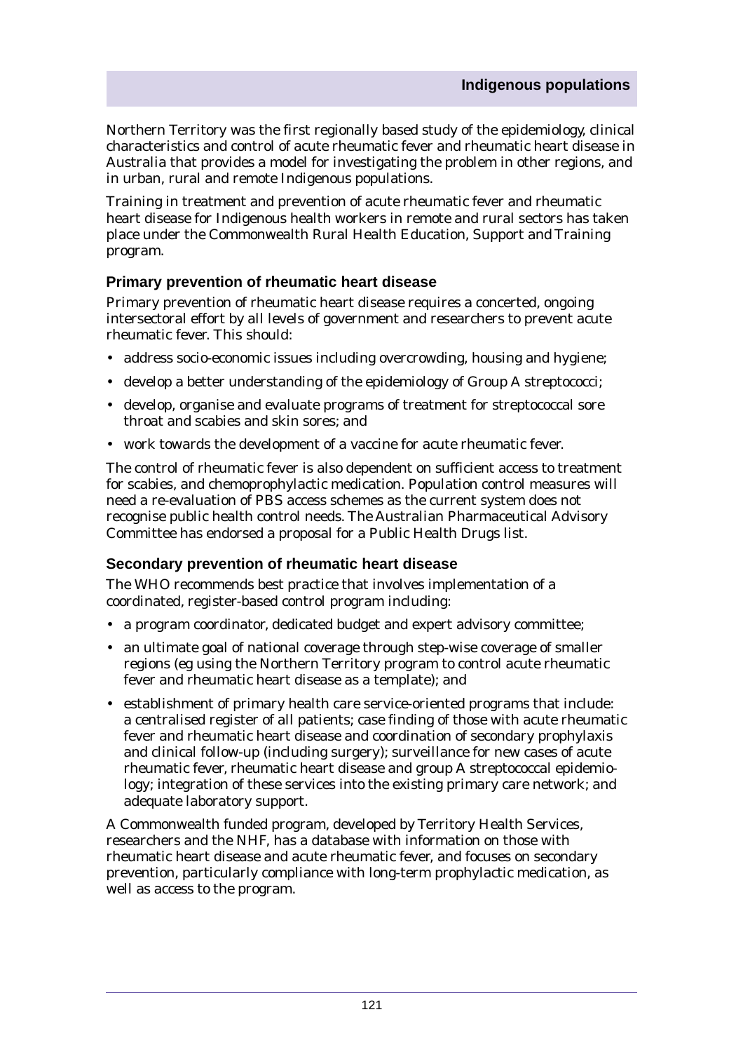Northern Territory was the first regionally based study of the epidemiology, clinical characteristics and control of acute rheumatic fever and rheumatic heart disease in Australia that provides a model for investigating the problem in other regions, and in urban, rural and remote Indigenous populations.

Training in treatment and prevention of acute rheumatic fever and rheumatic heart disease for Indigenous health workers in remote and rural sectors has taken place under the Commonwealth Rural Health Education, Support and Training program.

#### **Primary prevention of rheumatic heart disease**

Primary prevention of rheumatic heart disease requires a concerted, ongoing intersectoral effort by all levels of government and researchers to prevent acute rheumatic fever. This should:

- address socio-economic issues including overcrowding, housing and hygiene;
- develop a better understanding of the epidemiology of Group A streptococci;
- develop, organise and evaluate programs of treatment for streptococcal sore throat and scabies and skin sores; and
- work towards the development of a vaccine for acute rheumatic fever.

The control of rheumatic fever is also dependent on sufficient access to treatment for scabies, and chemoprophylactic medication. Population control measures will need a re-evaluation of PBS access schemes as the current system does not recognise public health control needs. The Australian Pharmaceutical Advisory Committee has endorsed a proposal for a Public Health Drugs list.

#### **Secondary prevention of rheumatic heart disease**

The WHO recommends best practice that involves implementation of a coordinated, register-based control program including:

- a program coordinator, dedicated budget and expert advisory committee;
- an ultimate goal of national coverage through step-wise coverage of smaller regions (eg using the Northern Territory program to control acute rheumatic fever and rheumatic heart disease as a template); and
- establishment of primary health care service-oriented programs that include: a centralised register of all patients; case finding of those with acute rheumatic fever and rheumatic heart disease and coordination of secondary prophylaxis and clinical follow-up (including surgery); surveillance for new cases of acute rheumatic fever, rheumatic heart disease and group A streptococcal epidemiology; integration of these services into the existing primary care network; and adequate laboratory support.

A Commonwealth funded program, developed by Territory Health Services, researchers and the NHF, has a database with information on those with rheumatic heart disease and acute rheumatic fever, and focuses on secondary prevention, particularly compliance with long-term prophylactic medication, as well as access to the program.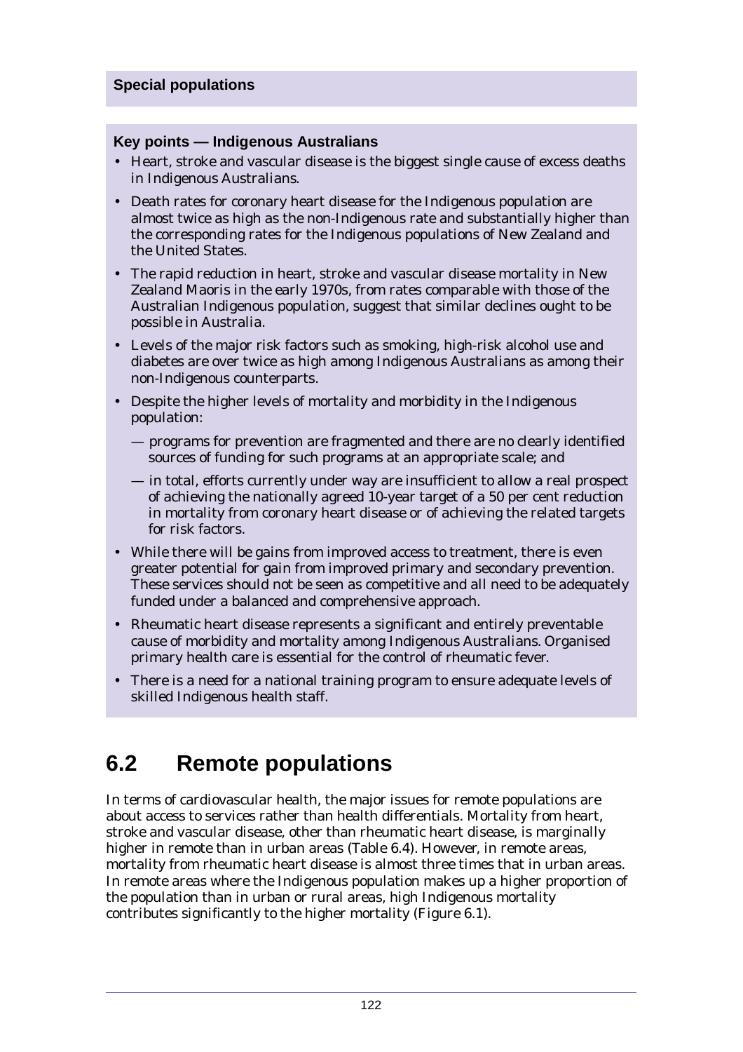#### **Key points — Indigenous Australians**

- Heart, stroke and vascular disease is the biggest single cause of excess deaths in Indigenous Australians.
- Death rates for coronary heart disease for the Indigenous population are almost twice as high as the non-Indigenous rate and substantially higher than the corresponding rates for the Indigenous populations of New Zealand and the United States.
- The rapid reduction in heart, stroke and vascular disease mortality in New Zealand Maoris in the early 1970s, from rates comparable with those of the Australian Indigenous population, suggest that similar declines ought to be possible in Australia.
- Levels of the major risk factors such as smoking, high-risk alcohol use and diabetes are over twice as high among Indigenous Australians as among their non-Indigenous counterparts.
- Despite the higher levels of mortality and morbidity in the Indigenous population:
	- programs for prevention are fragmented and there are no clearly identified sources of funding for such programs at an appropriate scale; and
	- in total, efforts currently under way are insufficient to allow a real prospect of achieving the nationally agreed 10-year target of a 50 per cent reduction in mortality from coronary heart disease or of achieving the related targets for risk factors.
- While there will be gains from improved access to treatment, there is even greater potential for gain from improved primary and secondary prevention. These services should not be seen as competitive and all need to be adequately funded under a balanced and comprehensive approach.
- Rheumatic heart disease represents a significant and entirely preventable cause of morbidity and mortality among Indigenous Australians. Organised primary health care is essential for the control of rheumatic fever.
- There is a need for a national training program to ensure adequate levels of skilled Indigenous health staff.

# **6.2 Remote populations**

In terms of cardiovascular health, the major issues for remote populations are about access to services rather than health differentials. Mortality from heart, stroke and vascular disease, other than rheumatic heart disease, is marginally higher in remote than in urban areas (Table 6.4). However, in remote areas, mortality from rheumatic heart disease is almost three times that in urban areas. In remote areas where the Indigenous population makes up a higher proportion of the population than in urban or rural areas, high Indigenous mortality contributes significantly to the higher mortality (Figure 6.1).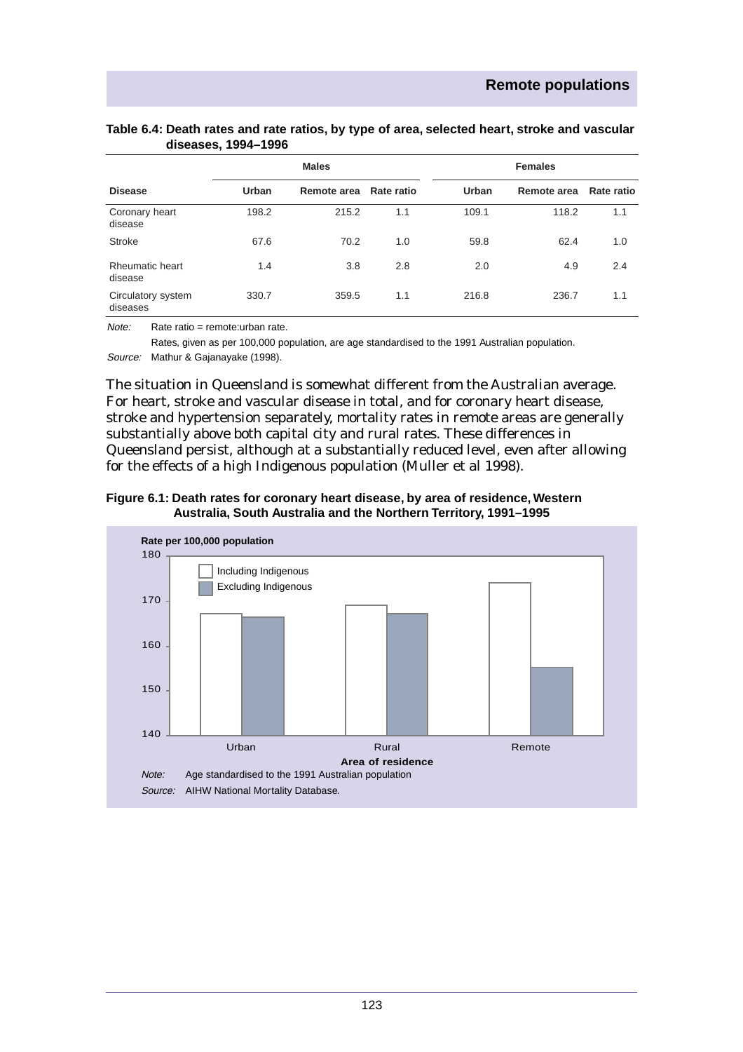|                                |       | <b>Males</b> |            |       | <b>Females</b> |            |
|--------------------------------|-------|--------------|------------|-------|----------------|------------|
| <b>Disease</b>                 | Urban | Remote area  | Rate ratio | Urban | Remote area    | Rate ratio |
| Coronary heart<br>disease      | 198.2 | 215.2        | 1.1        | 109.1 | 118.2          | 1.1        |
| Stroke                         | 67.6  | 70.2         | 1.0        | 59.8  | 62.4           | 1.0        |
| Rheumatic heart<br>disease     | 1.4   | 3.8          | 2.8        | 2.0   | 4.9            | 2.4        |
| Circulatory system<br>diseases | 330.7 | 359.5        | 1.1        | 216.8 | 236.7          | 1.1        |

#### **Table 6.4: Death rates and rate ratios, by type of area, selected heart, stroke and vascular diseases, 1994–1996**

Note: Rate ratio = remote:urban rate.

Rates, given as per 100,000 population, are age standardised to the 1991 Australian population.

Source: Mathur & Gajanayake (1998).

The situation in Queensland is somewhat different from the Australian average. For heart, stroke and vascular disease in total, and for coronary heart disease, stroke and hypertension separately, mortality rates in remote areas are generally substantially above both capital city and rural rates. These differences in Queensland persist, although at a substantially reduced level, even after allowing for the effects of a high Indigenous population (Muller et al 1998).



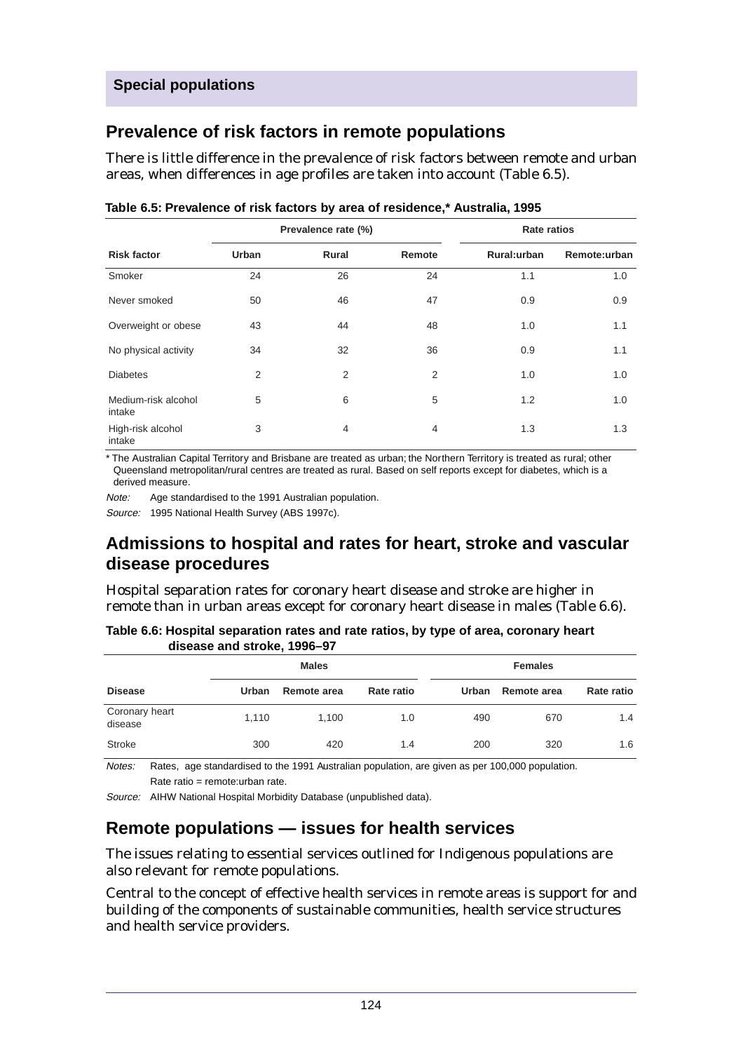# **Prevalence of risk factors in remote populations**

There is little difference in the prevalence of risk factors between remote and urban areas, when differences in age profiles are taken into account (Table 6.5).

|                               |       | Prevalence rate (%) |                | <b>Rate ratios</b> |              |  |
|-------------------------------|-------|---------------------|----------------|--------------------|--------------|--|
| <b>Risk factor</b>            | Urban | Rural               | Remote         | Rural:urban        | Remote:urban |  |
| Smoker                        | 24    | 26                  | 24             | 1.1                | 1.0          |  |
| Never smoked                  | 50    | 46                  | 47             | 0.9                | 0.9          |  |
| Overweight or obese           | 43    | 44                  | 48             | 1.0                | 1.1          |  |
| No physical activity          | 34    | 32                  | 36             | 0.9                | 1.1          |  |
| <b>Diabetes</b>               | 2     | 2                   | $\overline{2}$ | 1.0                | 1.0          |  |
| Medium-risk alcohol<br>intake | 5     | 6                   | 5              | 1.2                | 1.0          |  |
| High-risk alcohol<br>intake   | 3     | 4                   | $\overline{4}$ | 1.3                | 1.3          |  |

**Table 6.5: Prevalence of risk factors by area of residence,\* Australia, 1995**

\* The Australian Capital Territory and Brisbane are treated as urban; the Northern Territory is treated as rural; other Queensland metropolitan/rural centres are treated as rural. Based on self reports except for diabetes, which is a derived measure.

Note: Age standardised to the 1991 Australian population.

Source: 1995 National Health Survey (ABS 1997c).

# **Admissions to hospital and rates for heart, stroke and vascular disease procedures**

Hospital separation rates for coronary heart disease and stroke are higher in remote than in urban areas except for coronary heart disease in males (Table 6.6).

|                           | disease and stroke, 1996–97 |              |            |       |                |            |
|---------------------------|-----------------------------|--------------|------------|-------|----------------|------------|
|                           |                             | <b>Males</b> |            |       | <b>Females</b> |            |
| <b>Disease</b>            | Urban                       | Remote area  | Rate ratio | Urban | Remote area    | Rate ratio |
| Coronary heart<br>disease | 1,110                       | 1.100        | 1.0        | 490   | 670            | 1.4        |
| <b>Stroke</b>             | 300                         | 420          | 1.4        | 200   | 320            | 1.6        |

**Table 6.6: Hospital separation rates and rate ratios, by type of area, coronary heart** .<br>distribution **4000 07** 

Notes: Rates, age standardised to the 1991 Australian population, are given as per 100,000 population. Rate ratio = remote:urban rate.

Source: AIHW National Hospital Morbidity Database (unpublished data).

# **Remote populations — issues for health services**

The issues relating to essential services outlined for Indigenous populations are also relevant for remote populations.

Central to the concept of effective health services in remote areas is support for and building of the components of sustainable communities, health service structures and health service providers.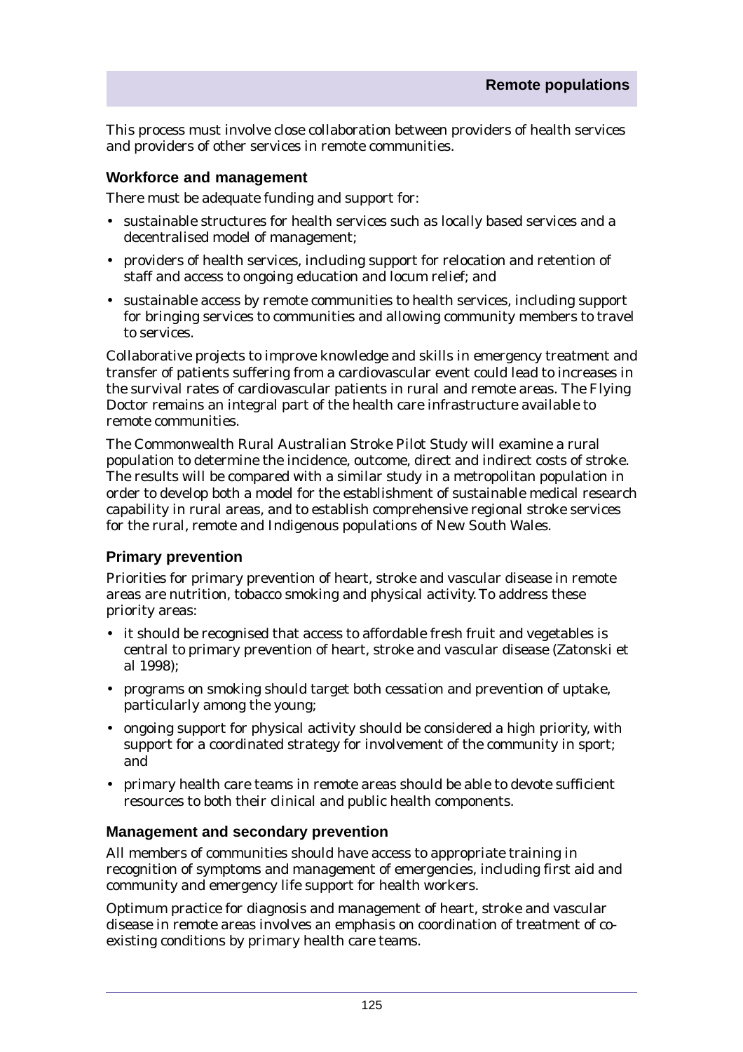This process must involve close collaboration between providers of health services and providers of other services in remote communities.

#### **Workforce and management**

There must be adequate funding and support for:

- sustainable structures for health services such as locally based services and a decentralised model of management;
- providers of health services, including support for relocation and retention of staff and access to ongoing education and locum relief; and
- sustainable access by remote communities to health services, including support for bringing services to communities and allowing community members to travel to services.

Collaborative projects to improve knowledge and skills in emergency treatment and transfer of patients suffering from a cardiovascular event could lead to increases in the survival rates of cardiovascular patients in rural and remote areas. The Flying Doctor remains an integral part of the health care infrastructure available to remote communities.

The Commonwealth Rural Australian Stroke Pilot Study will examine a rural population to determine the incidence, outcome, direct and indirect costs of stroke. The results will be compared with a similar study in a metropolitan population in order to develop both a model for the establishment of sustainable medical research capability in rural areas, and to establish comprehensive regional stroke services for the rural, remote and Indigenous populations of New South Wales.

#### **Primary prevention**

Priorities for primary prevention of heart, stroke and vascular disease in remote areas are nutrition, tobacco smoking and physical activity. To address these priority areas:

- it should be recognised that access to affordable fresh fruit and vegetables is central to primary prevention of heart, stroke and vascular disease (Zatonski et al 1998);
- programs on smoking should target both cessation and prevention of uptake, particularly among the young;
- ongoing support for physical activity should be considered a high priority, with support for a coordinated strategy for involvement of the community in sport; and
- primary health care teams in remote areas should be able to devote sufficient resources to both their clinical and public health components.

#### **Management and secondary prevention**

All members of communities should have access to appropriate training in recognition of symptoms and management of emergencies, including first aid and community and emergency life support for health workers.

Optimum practice for diagnosis and management of heart, stroke and vascular disease in remote areas involves an emphasis on coordination of treatment of coexisting conditions by primary health care teams.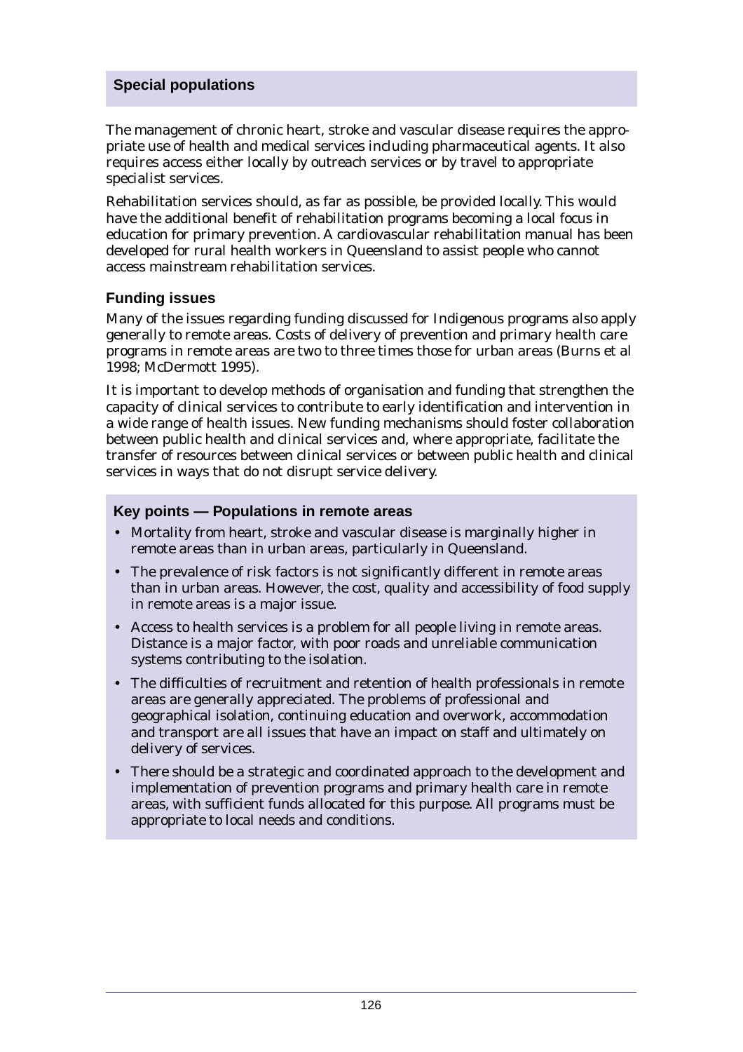The management of chronic heart, stroke and vascular disease requires the appropriate use of health and medical services including pharmaceutical agents. It also requires access either locally by outreach services or by travel to appropriate specialist services.

Rehabilitation services should, as far as possible, be provided locally. This would have the additional benefit of rehabilitation programs becoming a local focus in education for primary prevention. A cardiovascular rehabilitation manual has been developed for rural health workers in Queensland to assist people who cannot access mainstream rehabilitation services.

#### **Funding issues**

Many of the issues regarding funding discussed for Indigenous programs also apply generally to remote areas. Costs of delivery of prevention and primary health care programs in remote areas are two to three times those for urban areas (Burns et al 1998; McDermott 1995).

It is important to develop methods of organisation and funding that strengthen the capacity of clinical services to contribute to early identification and intervention in a wide range of health issues. New funding mechanisms should foster collaboration between public health and clinical services and, where appropriate, facilitate the transfer of resources between clinical services or between public health and clinical services in ways that do not disrupt service delivery.

#### **Key points — Populations in remote areas**

- Mortality from heart, stroke and vascular disease is marginally higher in remote areas than in urban areas, particularly in Queensland.
- The prevalence of risk factors is not significantly different in remote areas than in urban areas. However, the cost, quality and accessibility of food supply in remote areas is a major issue.
- Access to health services is a problem for all people living in remote areas. Distance is a major factor, with poor roads and unreliable communication systems contributing to the isolation.
- The difficulties of recruitment and retention of health professionals in remote areas are generally appreciated. The problems of professional and geographical isolation, continuing education and overwork, accommodation and transport are all issues that have an impact on staff and ultimately on delivery of services.
- There should be a strategic and coordinated approach to the development and implementation of prevention programs and primary health care in remote areas, with sufficient funds allocated for this purpose. All programs must be appropriate to local needs and conditions.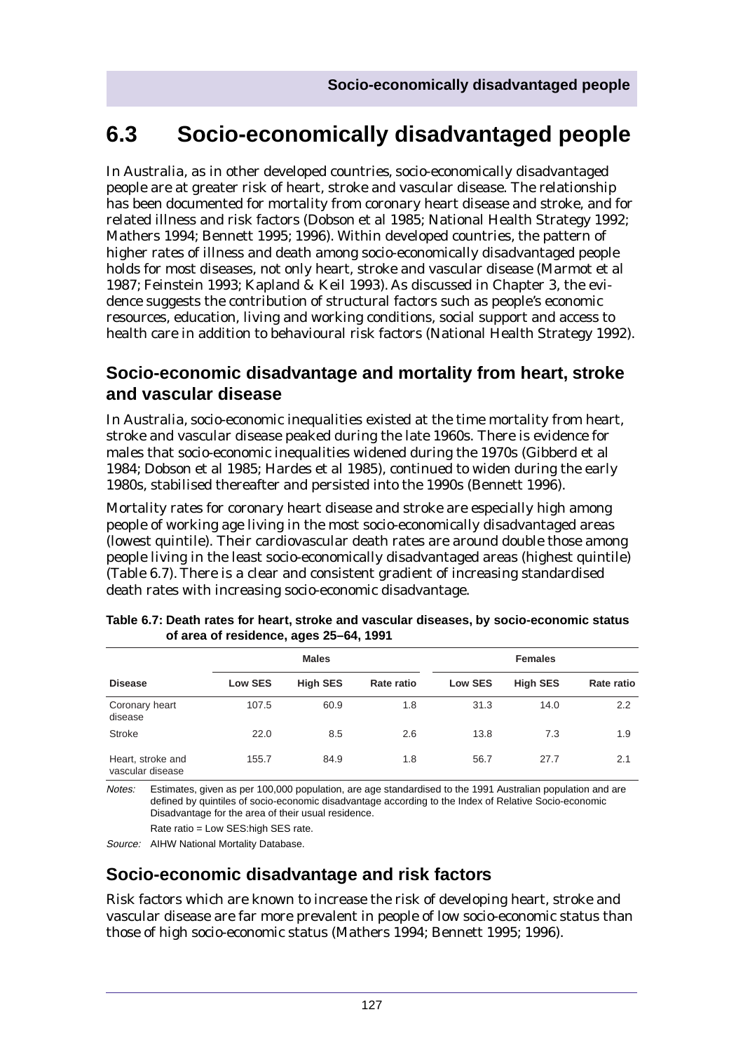# **6.3 Socio-economically disadvantaged people**

In Australia, as in other developed countries, socio-economically disadvantaged people are at greater risk of heart, stroke and vascular disease. The relationship has been documented for mortality from coronary heart disease and stroke, and for related illness and risk factors (Dobson et al 1985; National Health Strategy 1992; Mathers 1994; Bennett 1995; 1996). Within developed countries, the pattern of higher rates of illness and death among socio-economically disadvantaged people holds for most diseases, not only heart, stroke and vascular disease (Marmot et al 1987; Feinstein 1993; Kapland & Keil 1993). As discussed in Chapter 3, the evidence suggests the contribution of structural factors such as people's economic resources, education, living and working conditions, social support and access to health care in addition to behavioural risk factors (National Health Strategy 1992).

# **Socio-economic disadvantage and mortality from heart, stroke and vascular disease**

In Australia, socio-economic inequalities existed at the time mortality from heart, stroke and vascular disease peaked during the late 1960s. There is evidence for males that socio-economic inequalities widened during the 1970s (Gibberd et al 1984; Dobson et al 1985; Hardes et al 1985), continued to widen during the early 1980s, stabilised thereafter and persisted into the 1990s (Bennett 1996).

Mortality rates for coronary heart disease and stroke are especially high among people of working age living in the most socio-economically disadvantaged areas (lowest quintile). Their cardiovascular death rates are around double those among people living in the least socio-economically disadvantaged areas (highest quintile) (Table 6.7). There is a clear and consistent gradient of increasing standardised death rates with increasing socio-economic disadvantage.

|                                       |                | <b>Males</b>    |            |                | <b>Females</b>  |            |
|---------------------------------------|----------------|-----------------|------------|----------------|-----------------|------------|
| <b>Disease</b>                        | <b>Low SES</b> | <b>High SES</b> | Rate ratio | <b>Low SES</b> | <b>High SES</b> | Rate ratio |
| Coronary heart<br>disease             | 107.5          | 60.9            | 1.8        | 31.3           | 14.0            | 2.2        |
| <b>Stroke</b>                         | 22.0           | 8.5             | 2.6        | 13.8           | 7.3             | 1.9        |
| Heart, stroke and<br>vascular disease | 155.7          | 84.9            | 1.8        | 56.7           | 27.7            | 2.1        |

| Table 6.7: Death rates for heart, stroke and vascular diseases, by socio-economic status |  |
|------------------------------------------------------------------------------------------|--|
| of area of residence, ages 25–64, 1991                                                   |  |

Notes: Estimates, given as per 100,000 population, are age standardised to the 1991 Australian population and are defined by quintiles of socio-economic disadvantage according to the Index of Relative Socio-economic Disadvantage for the area of their usual residence.

Rate ratio = Low SES:high SES rate.

Source: AIHW National Mortality Database.

# **Socio-economic disadvantage and risk factors**

Risk factors which are known to increase the risk of developing heart, stroke and vascular disease are far more prevalent in people of low socio-economic status than those of high socio-economic status (Mathers 1994; Bennett 1995; 1996).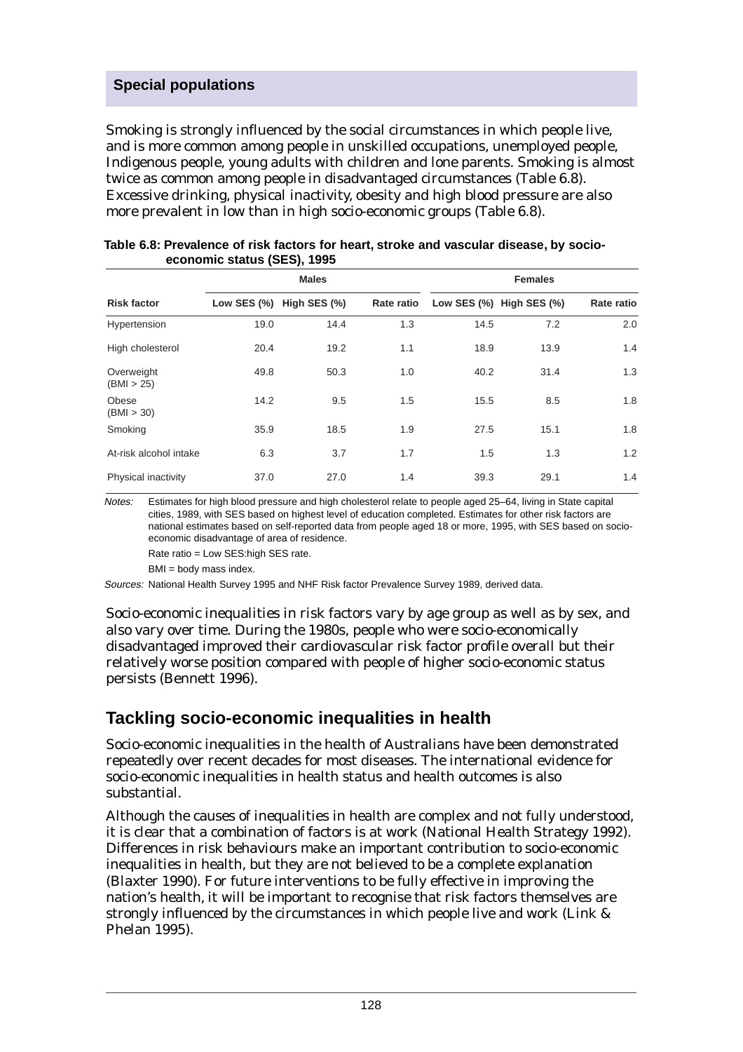Smoking is strongly influenced by the social circumstances in which people live, and is more common among people in unskilled occupations, unemployed people, Indigenous people, young adults with children and lone parents. Smoking is almost twice as common among people in disadvantaged circumstances (Table 6.8). Excessive drinking, physical inactivity, obesity and high blood pressure are also more prevalent in low than in high socio-economic groups (Table 6.8).

|                          |      | <b>Males</b>             |            |      | <b>Females</b>                 |            |
|--------------------------|------|--------------------------|------------|------|--------------------------------|------------|
| <b>Risk factor</b>       |      | Low SES (%) High SES (%) | Rate ratio |      | Low SES $(\%)$ High SES $(\%)$ | Rate ratio |
| Hypertension             | 19.0 | 14.4                     | 1.3        | 14.5 | 7.2                            | 2.0        |
| High cholesterol         | 20.4 | 19.2                     | 1.1        | 18.9 | 13.9                           | 1.4        |
| Overweight<br>(BMI > 25) | 49.8 | 50.3                     | 1.0        | 40.2 | 31.4                           | 1.3        |
| Obese<br>(BMI > 30)      | 14.2 | 9.5                      | 1.5        | 15.5 | 8.5                            | 1.8        |
| Smoking                  | 35.9 | 18.5                     | 1.9        | 27.5 | 15.1                           | 1.8        |
| At-risk alcohol intake   | 6.3  | 3.7                      | 1.7        | 1.5  | 1.3                            | 1.2        |
| Physical inactivity      | 37.0 | 27.0                     | 1.4        | 39.3 | 29.1                           | 1.4        |

| Table 6.8: Prevalence of risk factors for heart, stroke and vascular disease, by socio- |  |
|-----------------------------------------------------------------------------------------|--|
| economic status (SES), 1995                                                             |  |

Notes: Estimates for high blood pressure and high cholesterol relate to people aged 25–64, living in State capital cities, 1989, with SES based on highest level of education completed. Estimates for other risk factors are national estimates based on self-reported data from people aged 18 or more, 1995, with SES based on socioeconomic disadvantage of area of residence.

Rate ratio = Low SES:high SES rate.

BMI = body mass index.

Sources: National Health Survey 1995 and NHF Risk factor Prevalence Survey 1989, derived data.

Socio-economic inequalities in risk factors vary by age group as well as by sex, and also vary over time. During the 1980s, people who were socio-economically disadvantaged improved their cardiovascular risk factor profile overall but their relatively worse position compared with people of higher socio-economic status persists (Bennett 1996).

# **Tackling socio-economic inequalities in health**

Socio-economic inequalities in the health of Australians have been demonstrated repeatedly over recent decades for most diseases. The international evidence for socio-economic inequalities in health status and health outcomes is also substantial.

Although the causes of inequalities in health are complex and not fully understood, it is clear that a combination of factors is at work (National Health Strategy 1992). Differences in risk behaviours make an important contribution to socio-economic inequalities in health, but they are not believed to be a complete explanation (Blaxter 1990). For future interventions to be fully effective in improving the nation's health, it will be important to recognise that risk factors themselves are strongly influenced by the circumstances in which people live and work (Link & Phelan 1995).